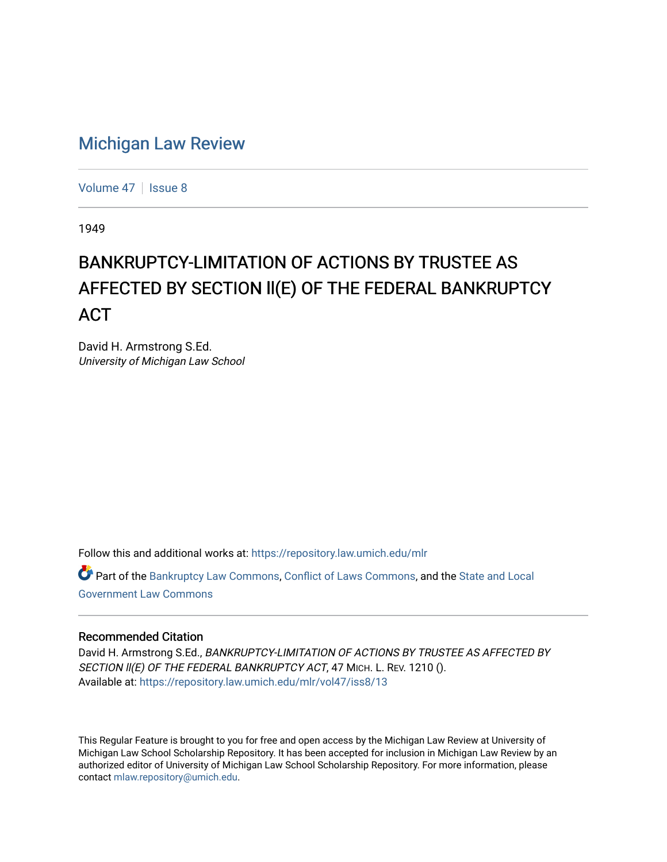## [Michigan Law Review](https://repository.law.umich.edu/mlr)

[Volume 47](https://repository.law.umich.edu/mlr/vol47) | [Issue 8](https://repository.law.umich.edu/mlr/vol47/iss8)

1949

## BANKRUPTCY-LIMITATION OF ACTIONS BY TRUSTEE AS AFFECTED BY SECTION ll(E) OF THE FEDERAL BANKRUPTCY ACT

David H. Armstrong S.Ed. University of Michigan Law School

Follow this and additional works at: [https://repository.law.umich.edu/mlr](https://repository.law.umich.edu/mlr?utm_source=repository.law.umich.edu%2Fmlr%2Fvol47%2Fiss8%2F13&utm_medium=PDF&utm_campaign=PDFCoverPages) 

Part of the [Bankruptcy Law Commons,](http://network.bepress.com/hgg/discipline/583?utm_source=repository.law.umich.edu%2Fmlr%2Fvol47%2Fiss8%2F13&utm_medium=PDF&utm_campaign=PDFCoverPages) [Conflict of Laws Commons,](http://network.bepress.com/hgg/discipline/588?utm_source=repository.law.umich.edu%2Fmlr%2Fvol47%2Fiss8%2F13&utm_medium=PDF&utm_campaign=PDFCoverPages) and the [State and Local](http://network.bepress.com/hgg/discipline/879?utm_source=repository.law.umich.edu%2Fmlr%2Fvol47%2Fiss8%2F13&utm_medium=PDF&utm_campaign=PDFCoverPages)  [Government Law Commons](http://network.bepress.com/hgg/discipline/879?utm_source=repository.law.umich.edu%2Fmlr%2Fvol47%2Fiss8%2F13&utm_medium=PDF&utm_campaign=PDFCoverPages) 

## Recommended Citation

David H. Armstrong S.Ed., BANKRUPTCY-LIMITATION OF ACTIONS BY TRUSTEE AS AFFECTED BY SECTION II(E) OF THE FEDERAL BANKRUPTCY ACT, 47 MICH. L. REV. 1210 (). Available at: [https://repository.law.umich.edu/mlr/vol47/iss8/13](https://repository.law.umich.edu/mlr/vol47/iss8/13?utm_source=repository.law.umich.edu%2Fmlr%2Fvol47%2Fiss8%2F13&utm_medium=PDF&utm_campaign=PDFCoverPages) 

This Regular Feature is brought to you for free and open access by the Michigan Law Review at University of Michigan Law School Scholarship Repository. It has been accepted for inclusion in Michigan Law Review by an authorized editor of University of Michigan Law School Scholarship Repository. For more information, please contact [mlaw.repository@umich.edu](mailto:mlaw.repository@umich.edu).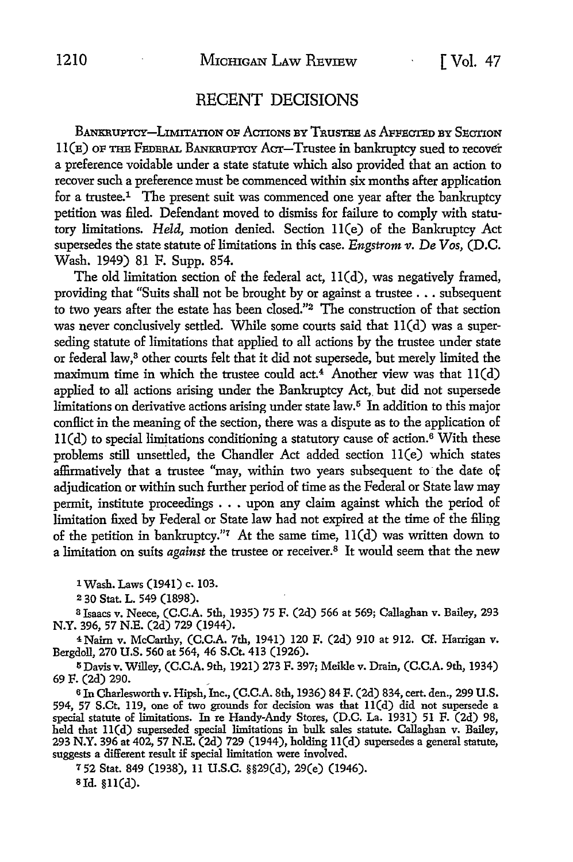## RECENT DECISIONS

BANKRUPTCY-LIMITATION OF ACTIONS BY TRUSTEE AS AFFECTED BY SECTION  $11(\texttt{E})$  OF THE FEDERAL BANKRUPTCY ACT-Trustee in bankruptcy sued to recover a preference voidable under a state statute which also provided that an action to recover such a preference must be commenced within six months after application for a trustee.1 The present suit was commenced one year after the bankruptcy petition was filed. Defendant moved to dismiss for failure to comply with statutory limitations. *Held,* motion denied. Section ll(e) of the Bankruptcy Act supersedes the state statute of limitations in this case. *Engstrom v.* De *Vos,* (D.C. Wash. 1949) 81 F. Supp. 854.

The old limitation section of the federal act, ll(d), was negatively framed, providing that "Suits shall not be brought by or against a trustee .•. subsequent to two years after the estate has been closed."<sup>2</sup> The construction of that section was never conclusively settled. While some courts said that 11(d) was a superseding statute of limitations that applied to all actions by the trustee under state or federal law,8 other courts felt that it did not supersede, but merely limited the maximum time in which the trustee could act.<sup>4</sup> Another view was that  $11(d)$ applied to all actions arising under the Bankruptcy Act, but did not supersede limitations on derivative actions arising under state law.<sup>5</sup> In addition to this major conflict in the meaning of the section, there was a dispute as to the application of  $11(d)$  to special limitations conditioning a statutory cause of action.<sup>6</sup> With these problems still unsettled, the Chandler Act added section ll(e) which states affirmatively that a trustee "may, within two years subsequent to· the date of adjudication or within such further period of time as the Federal or State law may permit, institute proceedings  $\ldots$  upon any claim against which the period of limitation fixed by Federal or State law had not expired at the time of the filing of the petition in bankruptcy."<sup>7</sup> At the same time,  $11(d)$  was written down to a limitation on suits *against* the trustee or receiver.8 It would seem that the new

1 Wash. Laws (1941) c. 103.

<sup>2</sup>30 Stat. L. 549 (1898).

a Isaacs v. Neece, (C.C.A. 5th, 1935) 75 F. (2d) 566 at 569; Callaghan v. Bailey, 293 N.Y. 396, 57 N.E. (2d) 729 (1944).

4Naim v. McCarthy, (C.C.A. 7th, 1941) 120 F. (2d) 910 at 912. Cf. Harrigan v. Bergdoll, 270 U.S. 560 at 564, 46 S.Ct. 413 (1926).

5 Davis v. Willey, (C.C.A. 9th, 1921) 273 F. 397; Meikle v. Drain, (C.C.A. 9th, 1934) 69 F. (2d) 290.

<sup>6</sup>In Charlesworth v. Hipsh, Inc., (C.C.A. 8th, 1936) 84 F. (2d) 834, cert. den., 299 U.S. 594, 57 S.Ct. 119, one of two grounds for decision was that ll(d) did not supersede a special statute of limitations. In re Handy-Andy Stores, (D.C. La. 1931) 51 F. (2d) 98, held that ll(d) superseded special limitations in bulk sales statute. Callaghan v. Bailey, 293 N.Y. 396 at 402, 57 N.E. (2d) 729 (1944), holding ll(d) supersedes a general statute, suggests a different result if special limitation were involved.

7 52 Stat. 849 (1938), 11 U.S.C. §§29(d), 29(e) (1946). Bld. §ll(d).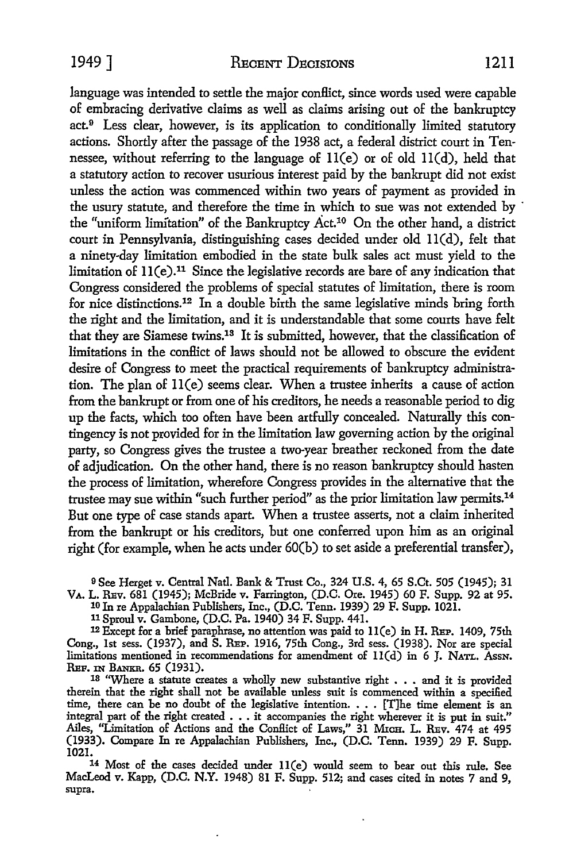language was intended to settle the major conflict, since words used were capable of embracing derivative claims as well as claims arising out of the bankruptcy  $act<sup>9</sup>$  Less clear, however, is its application to conditionally limited statutory actions. Shortly after the passage of the 1938 act, a federal district court in Tennessee, without referring to the language of  $11(e)$  or of old  $11(d)$ , held that a statutory action to recover usurious interest paid by the bankrupt did not exist unless the action was commenced within two years of payment as provided in the usury statute, and therefore the time in which to sue was not extended by · the "uniform limitation" of the Bankruptcy  $\text{Act.}^{10}$  On the other hand, a district court in Pennsylvania, distinguishing cases decided under old ll(d), felt that a ninety-day limitation embodied in the state bulk sales act must yield to the limitation of ll(e).11 Since the legislative records are bare of any indication that Congress considered the problems of special statutes of limitation, there is room for nice distinctions.12 In a double birth the same legislative minds bring forth the right and the limitation, and it is understandable that some courts have felt that they are Siamese twins.13 It is submitted, however, that the classification of limitations in the conBict of laws should not be allowed to obscure the evident desire of Congress to meet the practical requirements of bankruptcy administration. The plan of ll(e) seems clear. When a trustee inherits a cause of action from the bankrupt or from one of his creditors, he needs a reasonable period to dig up the facts, which too often have been artfully concealed. Naturally this contingency is not provided for in the limitation law governing action by the original party, so Congress gives the trustee a two-year breather reckoned from the date of adjudication. On the other hand, there is no reason bankruptcy should hasten the process of limitation, wherefore Congress provides in the alternative that the trustee may sue within "such further period" as the prior limitation law permits.14 But one type of case stands apart. When a trustee asserts, not a claim inherited from the bankrupt or his creditors, but one conferred upon him as an original right (for example, when he acts under 60(b) to set aside a preferential transfer),

9 See Herget v. Central Natl. Bank & Trust Co., 324 U.S. 4, 65 S.Ct. 505 (1945); 31 VA. L. REv. 681 (1945); McBride v. Farrington, (D.C. Ore. 1945) 60 F. Supp. 92 at 95.

10 In re Appalachian Publishers, Inc., (D.C. Tenn. 1939) 29 F. Supp. 1021.

<sup>11</sup>Sproul v. Gambone, (D.C. Pa. 1940) 34 F. Supp. 441.

<sup>12</sup>Except for a brief paraphrase, no attention was paid to ll(e) in H. REP. 1409, 75th Cong., 1st sess. (1937), and S. REP. 1916, 75th Cong., 3rd sess. (1938). Nor are special limitations mentioned in recommendations for amendment of  $11(d)$  in 6 J. NATL. AssN.<br>REF. IN BANKR. 65 (1931).

<sup>18</sup> "Where a statute creates a wholly new substantive right  $\ldots$  and it is provided therein that the right shall not be available unless suit is commenced within a specified time, there can be no doubt of the legislative intention. . . . [T]he time element is an integral part of the right created  $\ldots$  it accompanies the right wherever it is put in suit." Ailes, ''Limitation of Actions and the Conflict of Laws," 31 MICH. L. REv. 474 at 495 (1933). Compare In re Appalachian Publishers, Inc., (D.C. Tenn. 1939) 29 F. Supp. 1021.

14 Most of the cases decided under ll(e) would seem to bear out this rule. See MacLeod v. Kapp, (D.C. N.Y. 1948) 81 F. Supp. 512; and cases cited in notes 7 and 9, supra.